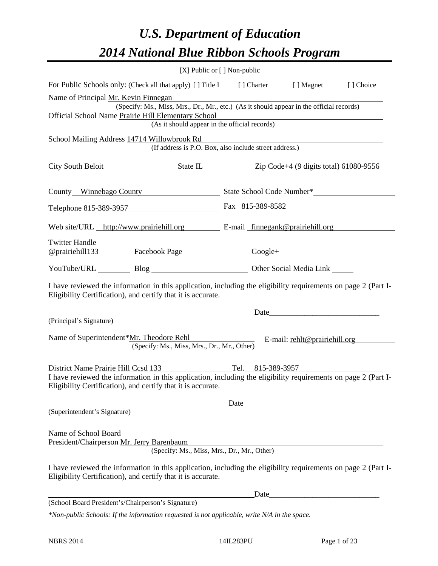# *U.S. Department of Education 2014 National Blue Ribbon Schools Program*

|                                                                                                                                                                                                                                                                                                    | [X] Public or [] Non-public |  |  |
|----------------------------------------------------------------------------------------------------------------------------------------------------------------------------------------------------------------------------------------------------------------------------------------------------|-----------------------------|--|--|
| For Public Schools only: (Check all that apply) [ ] Title I [ ] Charter [ ] Magnet [ ] Choice                                                                                                                                                                                                      |                             |  |  |
| Name of Principal <u>Mr. Kevin Finnegan</u><br>(Specify: Ms., Miss, Mrs., Dr., Mr., etc.) (As it should appear in the official records)<br>Official School Name Prairie Hill Elementary School<br>Il Elementary School<br>(As it should appear in the official records)                            |                             |  |  |
| School Mailing Address 14714 Willowbrook Rd<br>(If address is P.O. Box, also include street address.)                                                                                                                                                                                              |                             |  |  |
| City South Beloit State IL State IL Zip Code+4 (9 digits total) 61080-9556                                                                                                                                                                                                                         |                             |  |  |
|                                                                                                                                                                                                                                                                                                    |                             |  |  |
| Telephone 815-389-3957 Fax 815-389-8582                                                                                                                                                                                                                                                            |                             |  |  |
| Web site/URL http://www.prairiehill.org E-mail finnegank@prairiehill.org                                                                                                                                                                                                                           |                             |  |  |
| <b>Twitter Handle</b><br>@prairiehill133 Facebook Page Google+ Consumers                                                                                                                                                                                                                           |                             |  |  |
| YouTube/URL Blog Blog Discount Other Social Media Link                                                                                                                                                                                                                                             |                             |  |  |
| I have reviewed the information in this application, including the eligibility requirements on page 2 (Part I-<br>Eligibility Certification), and certify that it is accurate.                                                                                                                     |                             |  |  |
| (Principal's Signature)                                                                                                                                                                                                                                                                            |                             |  |  |
| Name of Superintendent*Mr. Theodore Rehl<br>E-mail: rehlt@prairiehill.org<br>(Specify: Ms., Miss, Mrs., Dr., Mr., Other)                                                                                                                                                                           |                             |  |  |
| District Name Prairie Hill Ccsd 133<br>Tel. 815-389-3957<br>I have reviewed the information in this application, including the eligibility requirements on page 2 (Part I-<br>Eligibility Certification), and certify that it is accurate.                                                         |                             |  |  |
| (Superintendent's Signature)                                                                                                                                                                                                                                                                       | Date                        |  |  |
| Name of School Board<br>President/Chairperson Mr. Jerry Barenbaum<br>(Specify: Ms., Miss, Mrs., Dr., Mr., Other)<br>I have reviewed the information in this application, including the eligibility requirements on page 2 (Part I-<br>Eligibility Certification), and certify that it is accurate. |                             |  |  |
|                                                                                                                                                                                                                                                                                                    |                             |  |  |
| (School Board President's/Chairperson's Signature)                                                                                                                                                                                                                                                 |                             |  |  |
| *Non-public Schools: If the information requested is not applicable, write N/A in the space.                                                                                                                                                                                                       |                             |  |  |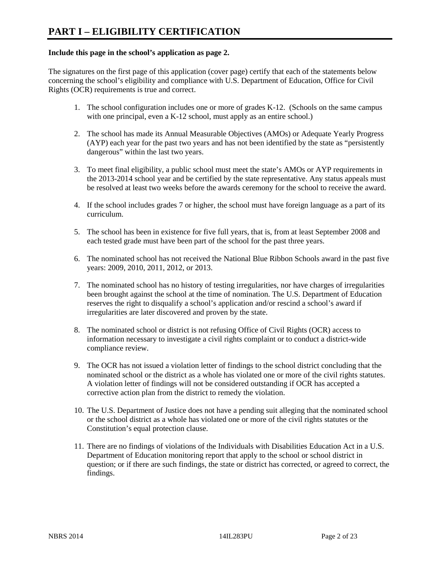#### **Include this page in the school's application as page 2.**

The signatures on the first page of this application (cover page) certify that each of the statements below concerning the school's eligibility and compliance with U.S. Department of Education, Office for Civil Rights (OCR) requirements is true and correct.

- 1. The school configuration includes one or more of grades K-12. (Schools on the same campus with one principal, even a K-12 school, must apply as an entire school.)
- 2. The school has made its Annual Measurable Objectives (AMOs) or Adequate Yearly Progress (AYP) each year for the past two years and has not been identified by the state as "persistently dangerous" within the last two years.
- 3. To meet final eligibility, a public school must meet the state's AMOs or AYP requirements in the 2013-2014 school year and be certified by the state representative. Any status appeals must be resolved at least two weeks before the awards ceremony for the school to receive the award.
- 4. If the school includes grades 7 or higher, the school must have foreign language as a part of its curriculum.
- 5. The school has been in existence for five full years, that is, from at least September 2008 and each tested grade must have been part of the school for the past three years.
- 6. The nominated school has not received the National Blue Ribbon Schools award in the past five years: 2009, 2010, 2011, 2012, or 2013.
- 7. The nominated school has no history of testing irregularities, nor have charges of irregularities been brought against the school at the time of nomination. The U.S. Department of Education reserves the right to disqualify a school's application and/or rescind a school's award if irregularities are later discovered and proven by the state.
- 8. The nominated school or district is not refusing Office of Civil Rights (OCR) access to information necessary to investigate a civil rights complaint or to conduct a district-wide compliance review.
- 9. The OCR has not issued a violation letter of findings to the school district concluding that the nominated school or the district as a whole has violated one or more of the civil rights statutes. A violation letter of findings will not be considered outstanding if OCR has accepted a corrective action plan from the district to remedy the violation.
- 10. The U.S. Department of Justice does not have a pending suit alleging that the nominated school or the school district as a whole has violated one or more of the civil rights statutes or the Constitution's equal protection clause.
- 11. There are no findings of violations of the Individuals with Disabilities Education Act in a U.S. Department of Education monitoring report that apply to the school or school district in question; or if there are such findings, the state or district has corrected, or agreed to correct, the findings.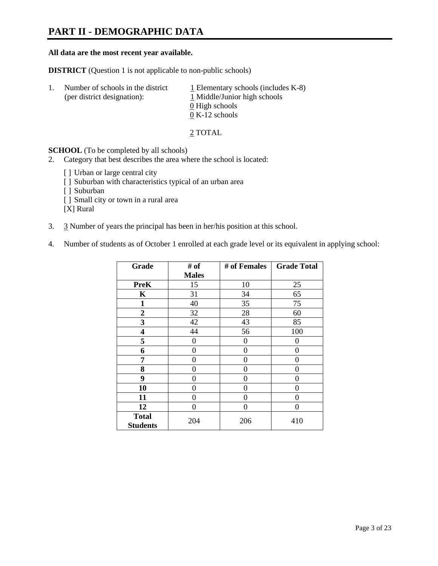# **PART II - DEMOGRAPHIC DATA**

#### **All data are the most recent year available.**

**DISTRICT** (Question 1 is not applicable to non-public schools)

| -1. | Number of schools in the district<br>(per district designation): | $\perp$ Elementary schools (includes K-8)<br>1 Middle/Junior high schools<br>0 High schools<br>$0 K-12$ schools |
|-----|------------------------------------------------------------------|-----------------------------------------------------------------------------------------------------------------|
|     |                                                                  |                                                                                                                 |

2 TOTAL

**SCHOOL** (To be completed by all schools)

- 2. Category that best describes the area where the school is located:
	- [] Urban or large central city
	- [ ] Suburban with characteristics typical of an urban area
	- [ ] Suburban
	- [ ] Small city or town in a rural area

[X] Rural

- 3. 3 Number of years the principal has been in her/his position at this school.
- 4. Number of students as of October 1 enrolled at each grade level or its equivalent in applying school:

| Grade                           | # of         | # of Females | <b>Grade Total</b> |
|---------------------------------|--------------|--------------|--------------------|
|                                 | <b>Males</b> |              |                    |
| <b>PreK</b>                     | 15           | 10           | 25                 |
| K                               | 31           | 34           | 65                 |
| $\mathbf{1}$                    | 40           | 35           | 75                 |
| $\boldsymbol{2}$                | 32           | 28           | 60                 |
| 3                               | 42           | 43           | 85                 |
| 4                               | 44           | 56           | 100                |
| 5                               | 0            | 0            | 0                  |
| 6                               | 0            | $\theta$     | 0                  |
| 7                               | 0            | 0            | 0                  |
| 8                               | 0            | 0            | 0                  |
| 9                               | 0            | 0            | 0                  |
| 10                              | 0            | $\Omega$     | 0                  |
| 11                              | 0            | 0            | 0                  |
| 12                              | 0            | 0            | 0                  |
| <b>Total</b><br><b>Students</b> | 204          | 206          | 410                |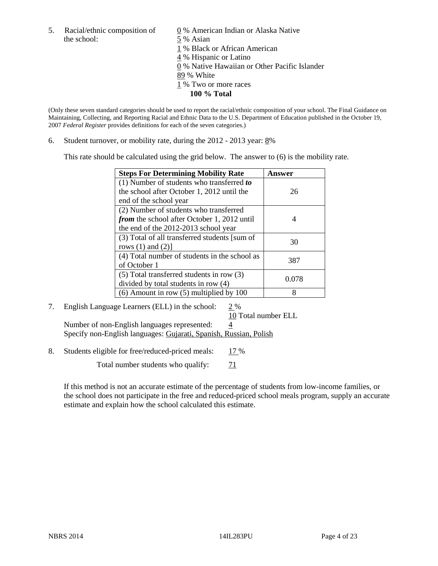5. Racial/ethnic composition of  $\qquad \qquad \underline{0}$  % American Indian or Alaska Native the school: 5 % Asian

 1 % Black or African American 4 % Hispanic or Latino 0 % Native Hawaiian or Other Pacific Islander 89 % White 1 % Two or more races **100 % Total** 

(Only these seven standard categories should be used to report the racial/ethnic composition of your school. The Final Guidance on Maintaining, Collecting, and Reporting Racial and Ethnic Data to the U.S. Department of Education published in the October 19, 2007 *Federal Register* provides definitions for each of the seven categories.)

6. Student turnover, or mobility rate, during the  $2012 - 2013$  year:  $8\%$ 

This rate should be calculated using the grid below. The answer to (6) is the mobility rate.

| <b>Steps For Determining Mobility Rate</b>         | Answer |
|----------------------------------------------------|--------|
| (1) Number of students who transferred to          |        |
| the school after October 1, 2012 until the         | 26     |
| end of the school year                             |        |
| (2) Number of students who transferred             |        |
| <i>from</i> the school after October 1, 2012 until |        |
| the end of the 2012-2013 school year               |        |
| (3) Total of all transferred students [sum of      | 30     |
| rows $(1)$ and $(2)$ ]                             |        |
| (4) Total number of students in the school as      | 387    |
| of October 1                                       |        |
| $(5)$ Total transferred students in row $(3)$      | 0.078  |
| divided by total students in row (4)               |        |
| $(6)$ Amount in row $(5)$ multiplied by 100        | 8      |

# 7. English Language Learners (ELL) in the school: 2 %

 10 Total number ELL Number of non-English languages represented:  $\frac{4}{5}$ Specify non-English languages: Gujarati, Spanish, Russian, Polish

8. Students eligible for free/reduced-priced meals: 17 %

Total number students who qualify:  $\frac{71}{2}$ 

If this method is not an accurate estimate of the percentage of students from low-income families, or the school does not participate in the free and reduced-priced school meals program, supply an accurate estimate and explain how the school calculated this estimate.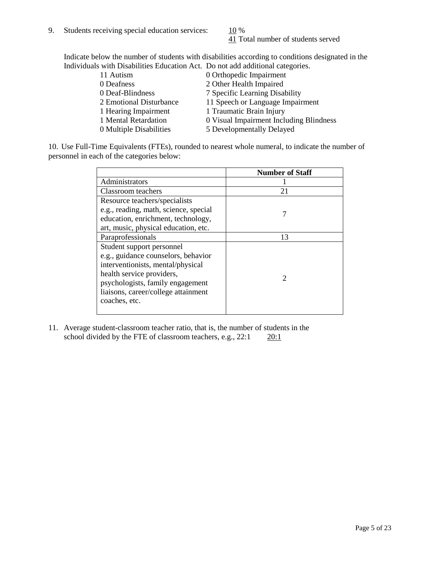41 Total number of students served

Indicate below the number of students with disabilities according to conditions designated in the Individuals with Disabilities Education Act. Do not add additional categories.

| 11 Autism               | 0 Orthopedic Impairment                 |
|-------------------------|-----------------------------------------|
| 0 Deafness              | 2 Other Health Impaired                 |
| 0 Deaf-Blindness        | 7 Specific Learning Disability          |
| 2 Emotional Disturbance | 11 Speech or Language Impairment        |
| 1 Hearing Impairment    | 1 Traumatic Brain Injury                |
| 1 Mental Retardation    | 0 Visual Impairment Including Blindness |
| 0 Multiple Disabilities | 5 Developmentally Delayed               |
|                         |                                         |

10. Use Full-Time Equivalents (FTEs), rounded to nearest whole numeral, to indicate the number of personnel in each of the categories below:

|                                       | <b>Number of Staff</b> |
|---------------------------------------|------------------------|
| Administrators                        |                        |
| Classroom teachers                    | 21                     |
| Resource teachers/specialists         |                        |
| e.g., reading, math, science, special |                        |
| education, enrichment, technology,    |                        |
| art, music, physical education, etc.  |                        |
| Paraprofessionals                     | 13                     |
| Student support personnel             |                        |
| e.g., guidance counselors, behavior   |                        |
| interventionists, mental/physical     |                        |
| health service providers,             |                        |
| psychologists, family engagement      |                        |
| liaisons, career/college attainment   |                        |
| coaches, etc.                         |                        |
|                                       |                        |

11. Average student-classroom teacher ratio, that is, the number of students in the school divided by the FTE of classroom teachers, e.g.,  $22:1$   $20:1$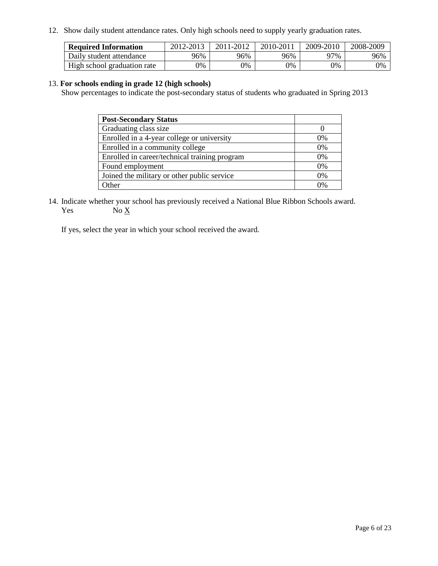12. Show daily student attendance rates. Only high schools need to supply yearly graduation rates.

| <b>Required Information</b> | 2012-2013 | 2011-2012 | 2010-2011 | 2009-2010 | 2008-2009 |
|-----------------------------|-----------|-----------|-----------|-----------|-----------|
| Daily student attendance    | 96%       | 96%       | 96%       | 97%       | 96%       |
| High school graduation rate | 0%        | 9%        | 0%        | 0%        | 0%        |

#### 13. **For schools ending in grade 12 (high schools)**

Show percentages to indicate the post-secondary status of students who graduated in Spring 2013

| <b>Post-Secondary Status</b>                  |       |
|-----------------------------------------------|-------|
| Graduating class size                         |       |
| Enrolled in a 4-year college or university    | $0\%$ |
| Enrolled in a community college               | 0%    |
| Enrolled in career/technical training program | 0%    |
| Found employment                              | 0%    |
| Joined the military or other public service   | 0%    |
| <b>Other</b>                                  | በ%    |

14. Indicate whether your school has previously received a National Blue Ribbon Schools award. Yes  $No \underline{X}$ 

If yes, select the year in which your school received the award.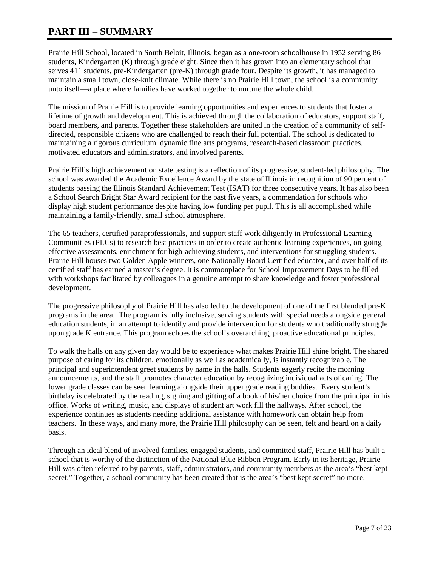# **PART III – SUMMARY**

Prairie Hill School, located in South Beloit, Illinois, began as a one-room schoolhouse in 1952 serving 86 students, Kindergarten (K) through grade eight. Since then it has grown into an elementary school that serves 411 students, pre-Kindergarten (pre-K) through grade four. Despite its growth, it has managed to maintain a small town, close-knit climate. While there is no Prairie Hill town, the school is a community unto itself—a place where families have worked together to nurture the whole child.

The mission of Prairie Hill is to provide learning opportunities and experiences to students that foster a lifetime of growth and development. This is achieved through the collaboration of educators, support staff, board members, and parents. Together these stakeholders are united in the creation of a community of selfdirected, responsible citizens who are challenged to reach their full potential. The school is dedicated to maintaining a rigorous curriculum, dynamic fine arts programs, research-based classroom practices, motivated educators and administrators, and involved parents.

Prairie Hill's high achievement on state testing is a reflection of its progressive, student-led philosophy. The school was awarded the Academic Excellence Award by the state of Illinois in recognition of 90 percent of students passing the Illinois Standard Achievement Test (ISAT) for three consecutive years. It has also been a School Search Bright Star Award recipient for the past five years, a commendation for schools who display high student performance despite having low funding per pupil. This is all accomplished while maintaining a family-friendly, small school atmosphere.

The 65 teachers, certified paraprofessionals, and support staff work diligently in Professional Learning Communities (PLCs) to research best practices in order to create authentic learning experiences, on-going effective assessments, enrichment for high-achieving students, and interventions for struggling students. Prairie Hill houses two Golden Apple winners, one Nationally Board Certified educator, and over half of its certified staff has earned a master's degree. It is commonplace for School Improvement Days to be filled with workshops facilitated by colleagues in a genuine attempt to share knowledge and foster professional development.

The progressive philosophy of Prairie Hill has also led to the development of one of the first blended pre-K programs in the area. The program is fully inclusive, serving students with special needs alongside general education students, in an attempt to identify and provide intervention for students who traditionally struggle upon grade K entrance. This program echoes the school's overarching, proactive educational principles.

To walk the halls on any given day would be to experience what makes Prairie Hill shine bright. The shared purpose of caring for its children, emotionally as well as academically, is instantly recognizable. The principal and superintendent greet students by name in the halls. Students eagerly recite the morning announcements, and the staff promotes character education by recognizing individual acts of caring. The lower grade classes can be seen learning alongside their upper grade reading buddies. Every student's birthday is celebrated by the reading, signing and gifting of a book of his/her choice from the principal in his office. Works of writing, music, and displays of student art work fill the hallways. After school, the experience continues as students needing additional assistance with homework can obtain help from teachers. In these ways, and many more, the Prairie Hill philosophy can be seen, felt and heard on a daily basis.

Through an ideal blend of involved families, engaged students, and committed staff, Prairie Hill has built a school that is worthy of the distinction of the National Blue Ribbon Program. Early in its heritage, Prairie Hill was often referred to by parents, staff, administrators, and community members as the area's "best kept secret." Together, a school community has been created that is the area's "best kept secret" no more.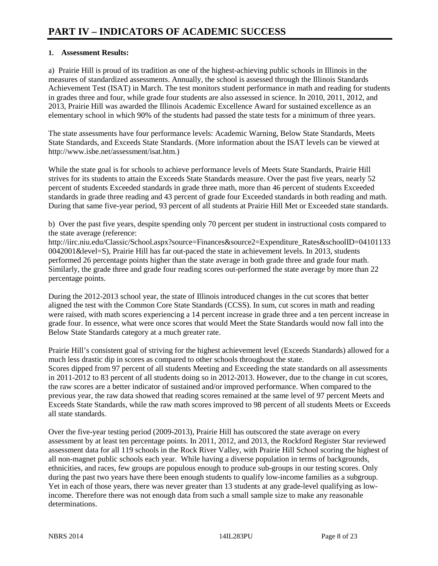### **1. Assessment Results:**

a) Prairie Hill is proud of its tradition as one of the highest-achieving public schools in Illinois in the measures of standardized assessments. Annually, the school is assessed through the Illinois Standards Achievement Test (ISAT) in March. The test monitors student performance in math and reading for students in grades three and four, while grade four students are also assessed in science. In 2010, 2011, 2012, and 2013, Prairie Hill was awarded the Illinois Academic Excellence Award for sustained excellence as an elementary school in which 90% of the students had passed the state tests for a minimum of three years.

The state assessments have four performance levels: Academic Warning, Below State Standards, Meets State Standards, and Exceeds State Standards. (More information about the ISAT levels can be viewed at http://www.isbe.net/assessment/isat.htm.)

While the state goal is for schools to achieve performance levels of Meets State Standards, Prairie Hill strives for its students to attain the Exceeds State Standards measure. Over the past five years, nearly 52 percent of students Exceeded standards in grade three math, more than 46 percent of students Exceeded standards in grade three reading and 43 percent of grade four Exceeded standards in both reading and math. During that same five-year period, 93 percent of all students at Prairie Hill Met or Exceeded state standards.

b) Over the past five years, despite spending only 70 percent per student in instructional costs compared to the state average (reference:

http://iirc.niu.edu/Classic/School.aspx?source=Finances&source2=Expenditure\_Rates&schoolID=04101133 0042001&level=S), Prairie Hill has far out-paced the state in achievement levels. In 2013, students performed 26 percentage points higher than the state average in both grade three and grade four math. Similarly, the grade three and grade four reading scores out-performed the state average by more than 22 percentage points.

During the 2012-2013 school year, the state of Illinois introduced changes in the cut scores that better aligned the test with the Common Core State Standards (CCSS). In sum, cut scores in math and reading were raised, with math scores experiencing a 14 percent increase in grade three and a ten percent increase in grade four. In essence, what were once scores that would Meet the State Standards would now fall into the Below State Standards category at a much greater rate.

Prairie Hill's consistent goal of striving for the highest achievement level (Exceeds Standards) allowed for a much less drastic dip in scores as compared to other schools throughout the state. Scores dipped from 97 percent of all students Meeting and Exceeding the state standards on all assessments in 2011-2012 to 83 percent of all students doing so in 2012-2013. However, due to the change in cut scores, the raw scores are a better indicator of sustained and/or improved performance. When compared to the previous year, the raw data showed that reading scores remained at the same level of 97 percent Meets and Exceeds State Standards, while the raw math scores improved to 98 percent of all students Meets or Exceeds all state standards.

Over the five-year testing period (2009-2013), Prairie Hill has outscored the state average on every assessment by at least ten percentage points. In 2011, 2012, and 2013, the Rockford Register Star reviewed assessment data for all 119 schools in the Rock River Valley, with Prairie Hill School scoring the highest of all non-magnet public schools each year. While having a diverse population in terms of backgrounds, ethnicities, and races, few groups are populous enough to produce sub-groups in our testing scores. Only during the past two years have there been enough students to qualify low-income families as a subgroup. Yet in each of those years, there was never greater than 13 students at any grade-level qualifying as lowincome. Therefore there was not enough data from such a small sample size to make any reasonable determinations.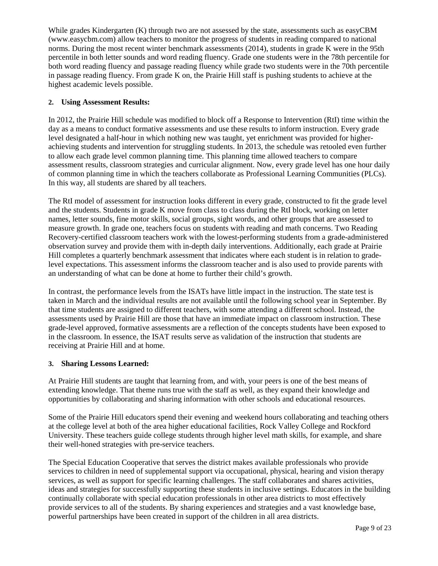While grades Kindergarten (K) through two are not assessed by the state, assessments such as easyCBM (www.easycbm.com) allow teachers to monitor the progress of students in reading compared to national norms. During the most recent winter benchmark assessments (2014), students in grade K were in the 95th percentile in both letter sounds and word reading fluency. Grade one students were in the 78th percentile for both word reading fluency and passage reading fluency while grade two students were in the 70th percentile in passage reading fluency. From grade K on, the Prairie Hill staff is pushing students to achieve at the highest academic levels possible.

#### **2. Using Assessment Results:**

In 2012, the Prairie Hill schedule was modified to block off a Response to Intervention (RtI) time within the day as a means to conduct formative assessments and use these results to inform instruction. Every grade level designated a half-hour in which nothing new was taught, yet enrichment was provided for higherachieving students and intervention for struggling students. In 2013, the schedule was retooled even further to allow each grade level common planning time. This planning time allowed teachers to compare assessment results, classroom strategies and curricular alignment. Now, every grade level has one hour daily of common planning time in which the teachers collaborate as Professional Learning Communities (PLCs). In this way, all students are shared by all teachers.

The RtI model of assessment for instruction looks different in every grade, constructed to fit the grade level and the students. Students in grade K move from class to class during the RtI block, working on letter names, letter sounds, fine motor skills, social groups, sight words, and other groups that are assessed to measure growth. In grade one, teachers focus on students with reading and math concerns. Two Reading Recovery-certified classroom teachers work with the lowest-performing students from a grade-administered observation survey and provide them with in-depth daily interventions. Additionally, each grade at Prairie Hill completes a quarterly benchmark assessment that indicates where each student is in relation to gradelevel expectations. This assessment informs the classroom teacher and is also used to provide parents with an understanding of what can be done at home to further their child's growth.

In contrast, the performance levels from the ISATs have little impact in the instruction. The state test is taken in March and the individual results are not available until the following school year in September. By that time students are assigned to different teachers, with some attending a different school. Instead, the assessments used by Prairie Hill are those that have an immediate impact on classroom instruction. These grade-level approved, formative assessments are a reflection of the concepts students have been exposed to in the classroom. In essence, the ISAT results serve as validation of the instruction that students are receiving at Prairie Hill and at home.

#### **3. Sharing Lessons Learned:**

At Prairie Hill students are taught that learning from, and with, your peers is one of the best means of extending knowledge. That theme runs true with the staff as well, as they expand their knowledge and opportunities by collaborating and sharing information with other schools and educational resources.

Some of the Prairie Hill educators spend their evening and weekend hours collaborating and teaching others at the college level at both of the area higher educational facilities, Rock Valley College and Rockford University. These teachers guide college students through higher level math skills, for example, and share their well-honed strategies with pre-service teachers.

The Special Education Cooperative that serves the district makes available professionals who provide services to children in need of supplemental support via occupational, physical, hearing and vision therapy services, as well as support for specific learning challenges. The staff collaborates and shares activities, ideas and strategies for successfully supporting these students in inclusive settings. Educators in the building continually collaborate with special education professionals in other area districts to most effectively provide services to all of the students. By sharing experiences and strategies and a vast knowledge base, powerful partnerships have been created in support of the children in all area districts.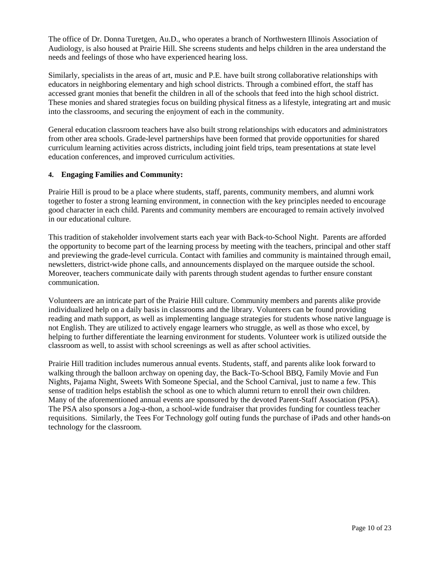The office of Dr. Donna Turetgen, Au.D., who operates a branch of Northwestern Illinois Association of Audiology, is also housed at Prairie Hill. She screens students and helps children in the area understand the needs and feelings of those who have experienced hearing loss.

Similarly, specialists in the areas of art, music and P.E. have built strong collaborative relationships with educators in neighboring elementary and high school districts. Through a combined effort, the staff has accessed grant monies that benefit the children in all of the schools that feed into the high school district. These monies and shared strategies focus on building physical fitness as a lifestyle, integrating art and music into the classrooms, and securing the enjoyment of each in the community.

General education classroom teachers have also built strong relationships with educators and administrators from other area schools. Grade-level partnerships have been formed that provide opportunities for shared curriculum learning activities across districts, including joint field trips, team presentations at state level education conferences, and improved curriculum activities.

#### **4. Engaging Families and Community:**

Prairie Hill is proud to be a place where students, staff, parents, community members, and alumni work together to foster a strong learning environment, in connection with the key principles needed to encourage good character in each child. Parents and community members are encouraged to remain actively involved in our educational culture.

This tradition of stakeholder involvement starts each year with Back-to-School Night. Parents are afforded the opportunity to become part of the learning process by meeting with the teachers, principal and other staff and previewing the grade-level curricula. Contact with families and community is maintained through email, newsletters, district-wide phone calls, and announcements displayed on the marquee outside the school. Moreover, teachers communicate daily with parents through student agendas to further ensure constant communication.

Volunteers are an intricate part of the Prairie Hill culture. Community members and parents alike provide individualized help on a daily basis in classrooms and the library. Volunteers can be found providing reading and math support, as well as implementing language strategies for students whose native language is not English. They are utilized to actively engage learners who struggle, as well as those who excel, by helping to further differentiate the learning environment for students. Volunteer work is utilized outside the classroom as well, to assist with school screenings as well as after school activities.

Prairie Hill tradition includes numerous annual events. Students, staff, and parents alike look forward to walking through the balloon archway on opening day, the Back-To-School BBQ, Family Movie and Fun Nights, Pajama Night, Sweets With Someone Special, and the School Carnival, just to name a few. This sense of tradition helps establish the school as one to which alumni return to enroll their own children. Many of the aforementioned annual events are sponsored by the devoted Parent-Staff Association (PSA). The PSA also sponsors a Jog-a-thon, a school-wide fundraiser that provides funding for countless teacher requisitions. Similarly, the Tees For Technology golf outing funds the purchase of iPads and other hands-on technology for the classroom.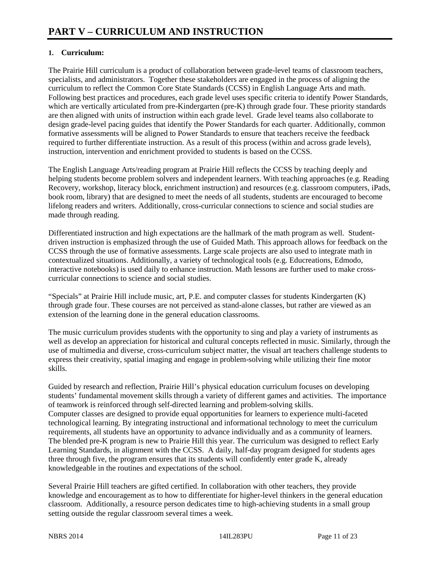# **1. Curriculum:**

The Prairie Hill curriculum is a product of collaboration between grade-level teams of classroom teachers, specialists, and administrators. Together these stakeholders are engaged in the process of aligning the curriculum to reflect the Common Core State Standards (CCSS) in English Language Arts and math. Following best practices and procedures, each grade level uses specific criteria to identify Power Standards, which are vertically articulated from pre-Kindergarten (pre-K) through grade four. These priority standards are then aligned with units of instruction within each grade level. Grade level teams also collaborate to design grade-level pacing guides that identify the Power Standards for each quarter. Additionally, common formative assessments will be aligned to Power Standards to ensure that teachers receive the feedback required to further differentiate instruction. As a result of this process (within and across grade levels), instruction, intervention and enrichment provided to students is based on the CCSS.

The English Language Arts/reading program at Prairie Hill reflects the CCSS by teaching deeply and helping students become problem solvers and independent learners. With teaching approaches (e.g. Reading Recovery, workshop, literacy block, enrichment instruction) and resources (e.g. classroom computers, iPads, book room, library) that are designed to meet the needs of all students, students are encouraged to become lifelong readers and writers. Additionally, cross-curricular connections to science and social studies are made through reading.

Differentiated instruction and high expectations are the hallmark of the math program as well. Studentdriven instruction is emphasized through the use of Guided Math. This approach allows for feedback on the CCSS through the use of formative assessments. Large scale projects are also used to integrate math in contextualized situations. Additionally, a variety of technological tools (e.g. Educreations, Edmodo, interactive notebooks) is used daily to enhance instruction. Math lessons are further used to make crosscurricular connections to science and social studies.

"Specials" at Prairie Hill include music, art, P.E. and computer classes for students Kindergarten (K) through grade four. These courses are not perceived as stand-alone classes, but rather are viewed as an extension of the learning done in the general education classrooms.

The music curriculum provides students with the opportunity to sing and play a variety of instruments as well as develop an appreciation for historical and cultural concepts reflected in music. Similarly, through the use of multimedia and diverse, cross-curriculum subject matter, the visual art teachers challenge students to express their creativity, spatial imaging and engage in problem-solving while utilizing their fine motor skills.

Guided by research and reflection, Prairie Hill's physical education curriculum focuses on developing students' fundamental movement skills through a variety of different games and activities. The importance of teamwork is reinforced through self-directed learning and problem-solving skills. Computer classes are designed to provide equal opportunities for learners to experience multi-faceted technological learning. By integrating instructional and informational technology to meet the curriculum requirements, all students have an opportunity to advance individually and as a community of learners. The blended pre-K program is new to Prairie Hill this year. The curriculum was designed to reflect Early Learning Standards, in alignment with the CCSS. A daily, half-day program designed for students ages three through five, the program ensures that its students will confidently enter grade K, already knowledgeable in the routines and expectations of the school.

Several Prairie Hill teachers are gifted certified. In collaboration with other teachers, they provide knowledge and encouragement as to how to differentiate for higher-level thinkers in the general education classroom. Additionally, a resource person dedicates time to high-achieving students in a small group setting outside the regular classroom several times a week.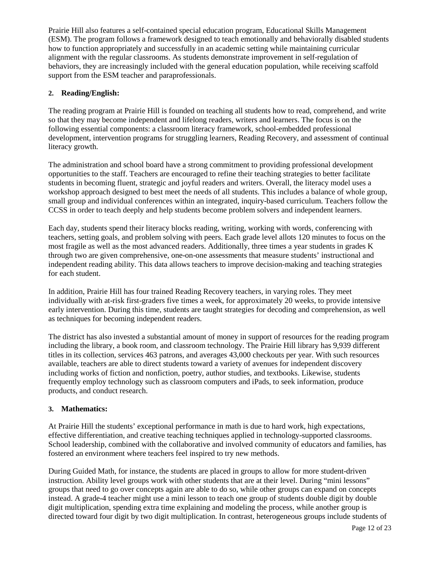Prairie Hill also features a self-contained special education program, Educational Skills Management (ESM). The program follows a framework designed to teach emotionally and behaviorally disabled students how to function appropriately and successfully in an academic setting while maintaining curricular alignment with the regular classrooms. As students demonstrate improvement in self-regulation of behaviors, they are increasingly included with the general education population, while receiving scaffold support from the ESM teacher and paraprofessionals.

### **2. Reading/English:**

The reading program at Prairie Hill is founded on teaching all students how to read, comprehend, and write so that they may become independent and lifelong readers, writers and learners. The focus is on the following essential components: a classroom literacy framework, school-embedded professional development, intervention programs for struggling learners, Reading Recovery, and assessment of continual literacy growth.

The administration and school board have a strong commitment to providing professional development opportunities to the staff. Teachers are encouraged to refine their teaching strategies to better facilitate students in becoming fluent, strategic and joyful readers and writers. Overall, the literacy model uses a workshop approach designed to best meet the needs of all students. This includes a balance of whole group, small group and individual conferences within an integrated, inquiry-based curriculum. Teachers follow the CCSS in order to teach deeply and help students become problem solvers and independent learners.

Each day, students spend their literacy blocks reading, writing, working with words, conferencing with teachers, setting goals, and problem solving with peers. Each grade level allots 120 minutes to focus on the most fragile as well as the most advanced readers. Additionally, three times a year students in grades K through two are given comprehensive, one-on-one assessments that measure students' instructional and independent reading ability. This data allows teachers to improve decision-making and teaching strategies for each student.

In addition, Prairie Hill has four trained Reading Recovery teachers, in varying roles. They meet individually with at-risk first-graders five times a week, for approximately 20 weeks, to provide intensive early intervention. During this time, students are taught strategies for decoding and comprehension, as well as techniques for becoming independent readers.

The district has also invested a substantial amount of money in support of resources for the reading program including the library, a book room, and classroom technology. The Prairie Hill library has 9,939 different titles in its collection, services 463 patrons, and averages 43,000 checkouts per year. With such resources available, teachers are able to direct students toward a variety of avenues for independent discovery including works of fiction and nonfiction, poetry, author studies, and textbooks. Likewise, students frequently employ technology such as classroom computers and iPads, to seek information, produce products, and conduct research.

#### **3. Mathematics:**

At Prairie Hill the students' exceptional performance in math is due to hard work, high expectations, effective differentiation, and creative teaching techniques applied in technology-supported classrooms. School leadership, combined with the collaborative and involved community of educators and families, has fostered an environment where teachers feel inspired to try new methods.

During Guided Math, for instance, the students are placed in groups to allow for more student-driven instruction. Ability level groups work with other students that are at their level. During "mini lessons" groups that need to go over concepts again are able to do so, while other groups can expand on concepts instead. A grade-4 teacher might use a mini lesson to teach one group of students double digit by double digit multiplication, spending extra time explaining and modeling the process, while another group is directed toward four digit by two digit multiplication. In contrast, heterogeneous groups include students of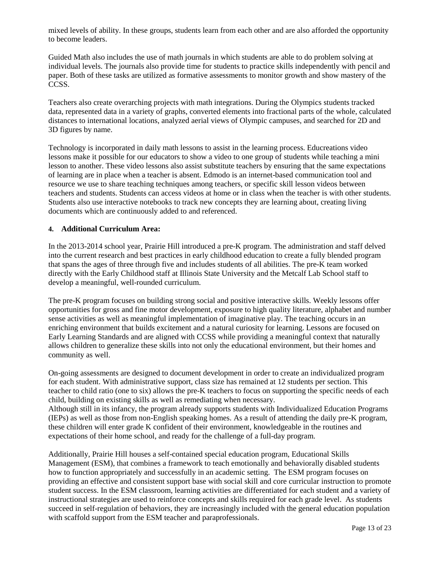mixed levels of ability. In these groups, students learn from each other and are also afforded the opportunity to become leaders.

Guided Math also includes the use of math journals in which students are able to do problem solving at individual levels. The journals also provide time for students to practice skills independently with pencil and paper. Both of these tasks are utilized as formative assessments to monitor growth and show mastery of the CCSS.

Teachers also create overarching projects with math integrations. During the Olympics students tracked data, represented data in a variety of graphs, converted elements into fractional parts of the whole, calculated distances to international locations, analyzed aerial views of Olympic campuses, and searched for 2D and 3D figures by name.

Technology is incorporated in daily math lessons to assist in the learning process. Educreations video lessons make it possible for our educators to show a video to one group of students while teaching a mini lesson to another. These video lessons also assist substitute teachers by ensuring that the same expectations of learning are in place when a teacher is absent. Edmodo is an internet-based communication tool and resource we use to share teaching techniques among teachers, or specific skill lesson videos between teachers and students. Students can access videos at home or in class when the teacher is with other students. Students also use interactive notebooks to track new concepts they are learning about, creating living documents which are continuously added to and referenced.

#### **4. Additional Curriculum Area:**

In the 2013-2014 school year, Prairie Hill introduced a pre-K program. The administration and staff delved into the current research and best practices in early childhood education to create a fully blended program that spans the ages of three through five and includes students of all abilities. The pre-K team worked directly with the Early Childhood staff at Illinois State University and the Metcalf Lab School staff to develop a meaningful, well-rounded curriculum.

The pre-K program focuses on building strong social and positive interactive skills. Weekly lessons offer opportunities for gross and fine motor development, exposure to high quality literature, alphabet and number sense activities as well as meaningful implementation of imaginative play. The teaching occurs in an enriching environment that builds excitement and a natural curiosity for learning. Lessons are focused on Early Learning Standards and are aligned with CCSS while providing a meaningful context that naturally allows children to generalize these skills into not only the educational environment, but their homes and community as well.

On-going assessments are designed to document development in order to create an individualized program for each student. With administrative support, class size has remained at 12 students per section. This teacher to child ratio (one to six) allows the pre-K teachers to focus on supporting the specific needs of each child, building on existing skills as well as remediating when necessary. Although still in its infancy, the program already supports students with Individualized Education Programs (IEPs) as well as those from non-English speaking homes. As a result of attending the daily pre-K program, these children will enter grade K confident of their environment, knowledgeable in the routines and expectations of their home school, and ready for the challenge of a full-day program.

Additionally, Prairie Hill houses a self-contained special education program, Educational Skills Management (ESM), that combines a framework to teach emotionally and behaviorally disabled students how to function appropriately and successfully in an academic setting. The ESM program focuses on providing an effective and consistent support base with social skill and core curricular instruction to promote student success. In the ESM classroom, learning activities are differentiated for each student and a variety of instructional strategies are used to reinforce concepts and skills required for each grade level. As students succeed in self-regulation of behaviors, they are increasingly included with the general education population with scaffold support from the ESM teacher and paraprofessionals.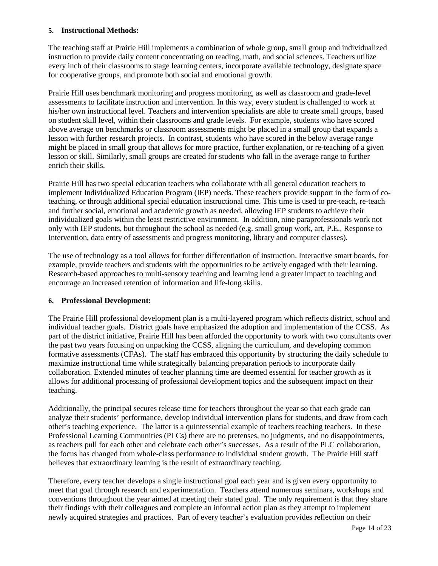#### **5. Instructional Methods:**

The teaching staff at Prairie Hill implements a combination of whole group, small group and individualized instruction to provide daily content concentrating on reading, math, and social sciences. Teachers utilize every inch of their classrooms to stage learning centers, incorporate available technology, designate space for cooperative groups, and promote both social and emotional growth.

Prairie Hill uses benchmark monitoring and progress monitoring, as well as classroom and grade-level assessments to facilitate instruction and intervention. In this way, every student is challenged to work at his/her own instructional level. Teachers and intervention specialists are able to create small groups, based on student skill level, within their classrooms and grade levels. For example, students who have scored above average on benchmarks or classroom assessments might be placed in a small group that expands a lesson with further research projects. In contrast, students who have scored in the below average range might be placed in small group that allows for more practice, further explanation, or re-teaching of a given lesson or skill. Similarly, small groups are created for students who fall in the average range to further enrich their skills.

Prairie Hill has two special education teachers who collaborate with all general education teachers to implement Individualized Education Program (IEP) needs. These teachers provide support in the form of coteaching, or through additional special education instructional time. This time is used to pre-teach, re-teach and further social, emotional and academic growth as needed, allowing IEP students to achieve their individualized goals within the least restrictive environment. In addition, nine paraprofessionals work not only with IEP students, but throughout the school as needed (e.g. small group work, art, P.E., Response to Intervention, data entry of assessments and progress monitoring, library and computer classes).

The use of technology as a tool allows for further differentiation of instruction. Interactive smart boards, for example, provide teachers and students with the opportunities to be actively engaged with their learning. Research-based approaches to multi-sensory teaching and learning lend a greater impact to teaching and encourage an increased retention of information and life-long skills.

#### **6. Professional Development:**

The Prairie Hill professional development plan is a multi-layered program which reflects district, school and individual teacher goals. District goals have emphasized the adoption and implementation of the CCSS. As part of the district initiative, Prairie Hill has been afforded the opportunity to work with two consultants over the past two years focusing on unpacking the CCSS, aligning the curriculum, and developing common formative assessments (CFAs). The staff has embraced this opportunity by structuring the daily schedule to maximize instructional time while strategically balancing preparation periods to incorporate daily collaboration. Extended minutes of teacher planning time are deemed essential for teacher growth as it allows for additional processing of professional development topics and the subsequent impact on their teaching.

Additionally, the principal secures release time for teachers throughout the year so that each grade can analyze their students' performance, develop individual intervention plans for students, and draw from each other's teaching experience. The latter is a quintessential example of teachers teaching teachers. In these Professional Learning Communities (PLCs) there are no pretenses, no judgments, and no disappointments, as teachers pull for each other and celebrate each other's successes. As a result of the PLC collaboration, the focus has changed from whole-class performance to individual student growth. The Prairie Hill staff believes that extraordinary learning is the result of extraordinary teaching.

Therefore, every teacher develops a single instructional goal each year and is given every opportunity to meet that goal through research and experimentation. Teachers attend numerous seminars, workshops and conventions throughout the year aimed at meeting their stated goal. The only requirement is that they share their findings with their colleagues and complete an informal action plan as they attempt to implement newly acquired strategies and practices. Part of every teacher's evaluation provides reflection on their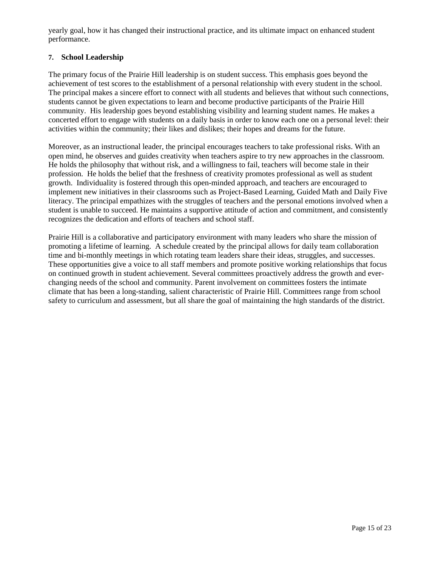yearly goal, how it has changed their instructional practice, and its ultimate impact on enhanced student performance.

### **7. School Leadership**

The primary focus of the Prairie Hill leadership is on student success. This emphasis goes beyond the achievement of test scores to the establishment of a personal relationship with every student in the school. The principal makes a sincere effort to connect with all students and believes that without such connections, students cannot be given expectations to learn and become productive participants of the Prairie Hill community. His leadership goes beyond establishing visibility and learning student names. He makes a concerted effort to engage with students on a daily basis in order to know each one on a personal level: their activities within the community; their likes and dislikes; their hopes and dreams for the future.

Moreover, as an instructional leader, the principal encourages teachers to take professional risks. With an open mind, he observes and guides creativity when teachers aspire to try new approaches in the classroom. He holds the philosophy that without risk, and a willingness to fail, teachers will become stale in their profession. He holds the belief that the freshness of creativity promotes professional as well as student growth. Individuality is fostered through this open-minded approach, and teachers are encouraged to implement new initiatives in their classrooms such as Project-Based Learning, Guided Math and Daily Five literacy. The principal empathizes with the struggles of teachers and the personal emotions involved when a student is unable to succeed. He maintains a supportive attitude of action and commitment, and consistently recognizes the dedication and efforts of teachers and school staff.

Prairie Hill is a collaborative and participatory environment with many leaders who share the mission of promoting a lifetime of learning. A schedule created by the principal allows for daily team collaboration time and bi-monthly meetings in which rotating team leaders share their ideas, struggles, and successes. These opportunities give a voice to all staff members and promote positive working relationships that focus on continued growth in student achievement. Several committees proactively address the growth and everchanging needs of the school and community. Parent involvement on committees fosters the intimate climate that has been a long-standing, salient characteristic of Prairie Hill. Committees range from school safety to curriculum and assessment, but all share the goal of maintaining the high standards of the district.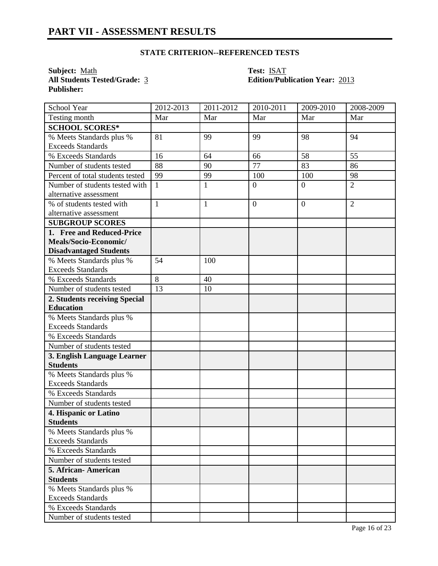# **STATE CRITERION--REFERENCED TESTS**

**Subject:** <u>Math</u> **Test:** <u>ISAT</u><br> **All Students Tested/Grade:** <u>3</u> **Calcular Edition/Pub Publisher:** 

# **All Students Tested/Grade:** 3 **Edition/Publication Year:** 2013

| School Year                                          | 2012-2013    | 2011-2012    | 2010-2011      | 2009-2010      | 2008-2009      |
|------------------------------------------------------|--------------|--------------|----------------|----------------|----------------|
| Testing month                                        | Mar          | Mar          | Mar            | Mar            | Mar            |
| <b>SCHOOL SCORES*</b>                                |              |              |                |                |                |
| % Meets Standards plus %                             | 81           | 99           | 99             | 98             | 94             |
| <b>Exceeds Standards</b>                             |              |              |                |                |                |
| % Exceeds Standards                                  | 16           | 64           | 66             | 58             | 55             |
| Number of students tested                            | 88           | 90           | 77             | 83             | 86             |
| Percent of total students tested                     | 99           | 99           | 100            | 100            | 98             |
| Number of students tested with                       | $\mathbf{1}$ | $\mathbf{1}$ | $\overline{0}$ | $\overline{0}$ | $\overline{2}$ |
| alternative assessment                               |              |              |                |                |                |
| % of students tested with                            | $\mathbf{1}$ | $\mathbf{1}$ | $\overline{0}$ | $\theta$       | $\overline{2}$ |
| alternative assessment                               |              |              |                |                |                |
| <b>SUBGROUP SCORES</b>                               |              |              |                |                |                |
| 1. Free and Reduced-Price                            |              |              |                |                |                |
| Meals/Socio-Economic/                                |              |              |                |                |                |
| <b>Disadvantaged Students</b>                        |              |              |                |                |                |
| % Meets Standards plus %                             | 54           | 100          |                |                |                |
| <b>Exceeds Standards</b>                             |              |              |                |                |                |
| % Exceeds Standards                                  | 8            | 40           |                |                |                |
| Number of students tested                            | 13           | 10           |                |                |                |
| 2. Students receiving Special                        |              |              |                |                |                |
| <b>Education</b>                                     |              |              |                |                |                |
| % Meets Standards plus %                             |              |              |                |                |                |
| <b>Exceeds Standards</b>                             |              |              |                |                |                |
| % Exceeds Standards                                  |              |              |                |                |                |
| Number of students tested                            |              |              |                |                |                |
| 3. English Language Learner                          |              |              |                |                |                |
| <b>Students</b>                                      |              |              |                |                |                |
| % Meets Standards plus %<br><b>Exceeds Standards</b> |              |              |                |                |                |
| % Exceeds Standards                                  |              |              |                |                |                |
| Number of students tested                            |              |              |                |                |                |
| 4. Hispanic or Latino                                |              |              |                |                |                |
| <b>Students</b>                                      |              |              |                |                |                |
| % Meets Standards plus %                             |              |              |                |                |                |
| <b>Exceeds Standards</b>                             |              |              |                |                |                |
| % Exceeds Standards                                  |              |              |                |                |                |
| Number of students tested                            |              |              |                |                |                |
| 5. African-American                                  |              |              |                |                |                |
| <b>Students</b>                                      |              |              |                |                |                |
| % Meets Standards plus %                             |              |              |                |                |                |
| <b>Exceeds Standards</b>                             |              |              |                |                |                |
| % Exceeds Standards                                  |              |              |                |                |                |
| Number of students tested                            |              |              |                |                |                |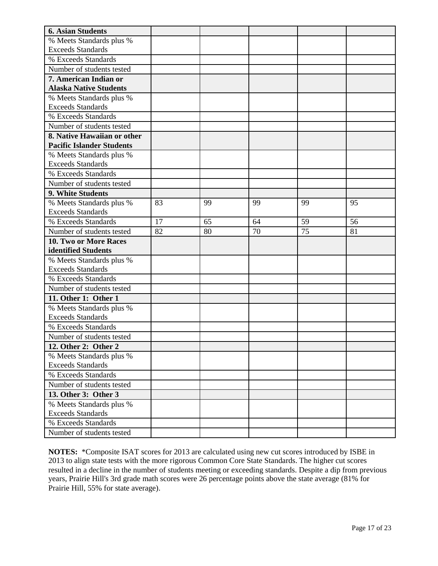| <b>6. Asian Students</b>         |    |    |    |    |    |
|----------------------------------|----|----|----|----|----|
| % Meets Standards plus %         |    |    |    |    |    |
| <b>Exceeds Standards</b>         |    |    |    |    |    |
| % Exceeds Standards              |    |    |    |    |    |
| Number of students tested        |    |    |    |    |    |
| 7. American Indian or            |    |    |    |    |    |
| <b>Alaska Native Students</b>    |    |    |    |    |    |
| % Meets Standards plus %         |    |    |    |    |    |
| <b>Exceeds Standards</b>         |    |    |    |    |    |
| % Exceeds Standards              |    |    |    |    |    |
| Number of students tested        |    |    |    |    |    |
| 8. Native Hawaiian or other      |    |    |    |    |    |
| <b>Pacific Islander Students</b> |    |    |    |    |    |
| % Meets Standards plus %         |    |    |    |    |    |
| <b>Exceeds Standards</b>         |    |    |    |    |    |
| % Exceeds Standards              |    |    |    |    |    |
| Number of students tested        |    |    |    |    |    |
| 9. White Students                |    |    |    |    |    |
| % Meets Standards plus %         | 83 | 99 | 99 | 99 | 95 |
| <b>Exceeds Standards</b>         |    |    |    |    |    |
| % Exceeds Standards              | 17 | 65 | 64 | 59 | 56 |
| Number of students tested        | 82 | 80 | 70 | 75 | 81 |
| 10. Two or More Races            |    |    |    |    |    |
| identified Students              |    |    |    |    |    |
| % Meets Standards plus %         |    |    |    |    |    |
| <b>Exceeds Standards</b>         |    |    |    |    |    |
| % Exceeds Standards              |    |    |    |    |    |
| Number of students tested        |    |    |    |    |    |
| 11. Other 1: Other 1             |    |    |    |    |    |
| % Meets Standards plus %         |    |    |    |    |    |
| <b>Exceeds Standards</b>         |    |    |    |    |    |
| % Exceeds Standards              |    |    |    |    |    |
| Number of students tested        |    |    |    |    |    |
| 12. Other 2: Other 2             |    |    |    |    |    |
| % Meets Standards plus %         |    |    |    |    |    |
| <b>Exceeds Standards</b>         |    |    |    |    |    |
| % Exceeds Standards              |    |    |    |    |    |
| Number of students tested        |    |    |    |    |    |
| 13. Other 3: Other 3             |    |    |    |    |    |
| % Meets Standards plus %         |    |    |    |    |    |
| <b>Exceeds Standards</b>         |    |    |    |    |    |
| % Exceeds Standards              |    |    |    |    |    |
| Number of students tested        |    |    |    |    |    |

**NOTES:** \*Composite ISAT scores for 2013 are calculated using new cut scores introduced by ISBE in 2013 to align state tests with the more rigorous Common Core State Standards. The higher cut scores resulted in a decline in the number of students meeting or exceeding standards. Despite a dip from previous years, Prairie Hill's 3rd grade math scores were 26 percentage points above the state average (81% for Prairie Hill, 55% for state average).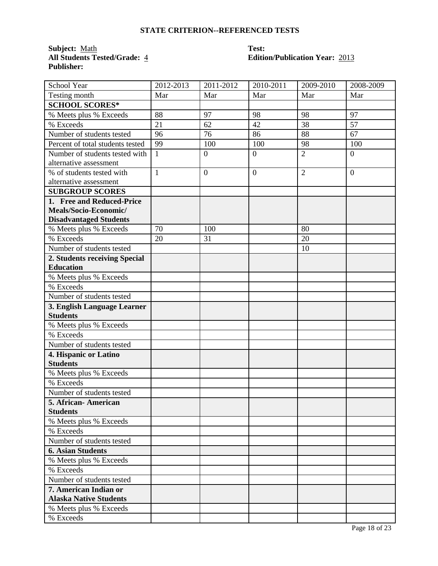# **STATE CRITERION--REFERENCED TESTS**

**Subject:** <u>Math</u> **Test:**<br> **All Students Tested/Grade:** 4 **Editic Publisher:** 

# **All Students Tested/Grade:** 4 **Edition/Publication Year:** 2013

| School Year                      | 2012-2013    | 2011-2012      | 2010-2011        | 2009-2010      | 2008-2009        |
|----------------------------------|--------------|----------------|------------------|----------------|------------------|
| Testing month                    | Mar          | Mar            | Mar              | Mar            | Mar              |
| <b>SCHOOL SCORES*</b>            |              |                |                  |                |                  |
| % Meets plus % Exceeds           | 88           | 97             | 98               | 98             | 97               |
| % Exceeds                        | 21           | 62             | 42               | 38             | 57               |
| Number of students tested        | 96           | 76             | 86               | 88             | 67               |
| Percent of total students tested | 99           | 100            | 100              | 98             | 100              |
| Number of students tested with   | $\mathbf{1}$ | $\mathbf{0}$   | $\boldsymbol{0}$ | $\overline{2}$ | $\boldsymbol{0}$ |
| alternative assessment           |              |                |                  |                |                  |
| % of students tested with        | $\mathbf{1}$ | $\overline{0}$ | $\overline{0}$   | $\overline{2}$ | $\overline{0}$   |
| alternative assessment           |              |                |                  |                |                  |
| <b>SUBGROUP SCORES</b>           |              |                |                  |                |                  |
| 1. Free and Reduced-Price        |              |                |                  |                |                  |
| Meals/Socio-Economic/            |              |                |                  |                |                  |
| <b>Disadvantaged Students</b>    |              |                |                  |                |                  |
| % Meets plus % Exceeds           | 70           | 100            |                  | 80             |                  |
| % Exceeds                        | 20           | 31             |                  | 20             |                  |
| Number of students tested        |              |                |                  | 10             |                  |
| 2. Students receiving Special    |              |                |                  |                |                  |
| <b>Education</b>                 |              |                |                  |                |                  |
| % Meets plus % Exceeds           |              |                |                  |                |                  |
| % Exceeds                        |              |                |                  |                |                  |
| Number of students tested        |              |                |                  |                |                  |
| 3. English Language Learner      |              |                |                  |                |                  |
| <b>Students</b>                  |              |                |                  |                |                  |
| % Meets plus % Exceeds           |              |                |                  |                |                  |
| % Exceeds                        |              |                |                  |                |                  |
| Number of students tested        |              |                |                  |                |                  |
| 4. Hispanic or Latino            |              |                |                  |                |                  |
| <b>Students</b>                  |              |                |                  |                |                  |
| % Meets plus % Exceeds           |              |                |                  |                |                  |
| % Exceeds                        |              |                |                  |                |                  |
| Number of students tested        |              |                |                  |                |                  |
| 5. African- American             |              |                |                  |                |                  |
| <b>Students</b>                  |              |                |                  |                |                  |
| % Meets plus % Exceeds           |              |                |                  |                |                  |
| % Exceeds                        |              |                |                  |                |                  |
| Number of students tested        |              |                |                  |                |                  |
| <b>6. Asian Students</b>         |              |                |                  |                |                  |
| % Meets plus % Exceeds           |              |                |                  |                |                  |
| % Exceeds                        |              |                |                  |                |                  |
| Number of students tested        |              |                |                  |                |                  |
| 7. American Indian or            |              |                |                  |                |                  |
| <b>Alaska Native Students</b>    |              |                |                  |                |                  |
| % Meets plus % Exceeds           |              |                |                  |                |                  |
| % Exceeds                        |              |                |                  |                |                  |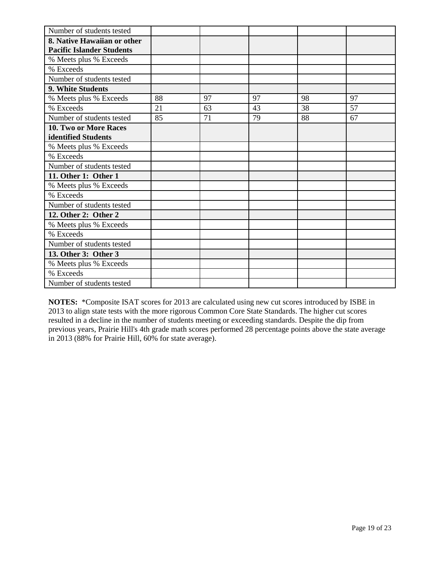| Number of students tested        |    |    |    |    |    |
|----------------------------------|----|----|----|----|----|
| 8. Native Hawaiian or other      |    |    |    |    |    |
| <b>Pacific Islander Students</b> |    |    |    |    |    |
| % Meets plus % Exceeds           |    |    |    |    |    |
| % Exceeds                        |    |    |    |    |    |
| Number of students tested        |    |    |    |    |    |
| 9. White Students                |    |    |    |    |    |
| % Meets plus % Exceeds           | 88 | 97 | 97 | 98 | 97 |
| % Exceeds                        | 21 | 63 | 43 | 38 | 57 |
| Number of students tested        | 85 | 71 | 79 | 88 | 67 |
| <b>10. Two or More Races</b>     |    |    |    |    |    |
| identified Students              |    |    |    |    |    |
| % Meets plus % Exceeds           |    |    |    |    |    |
| % Exceeds                        |    |    |    |    |    |
| Number of students tested        |    |    |    |    |    |
| 11. Other 1: Other 1             |    |    |    |    |    |
| % Meets plus % Exceeds           |    |    |    |    |    |
| % Exceeds                        |    |    |    |    |    |
| Number of students tested        |    |    |    |    |    |
| 12. Other 2: Other 2             |    |    |    |    |    |
| % Meets plus % Exceeds           |    |    |    |    |    |
| % Exceeds                        |    |    |    |    |    |
| Number of students tested        |    |    |    |    |    |
| 13. Other 3: Other 3             |    |    |    |    |    |
| % Meets plus % Exceeds           |    |    |    |    |    |
| % Exceeds                        |    |    |    |    |    |
| Number of students tested        |    |    |    |    |    |

**NOTES:** \*Composite ISAT scores for 2013 are calculated using new cut scores introduced by ISBE in 2013 to align state tests with the more rigorous Common Core State Standards. The higher cut scores resulted in a decline in the number of students meeting or exceeding standards. Despite the dip from previous years, Prairie Hill's 4th grade math scores performed 28 percentage points above the state average in 2013 (88% for Prairie Hill, 60% for state average).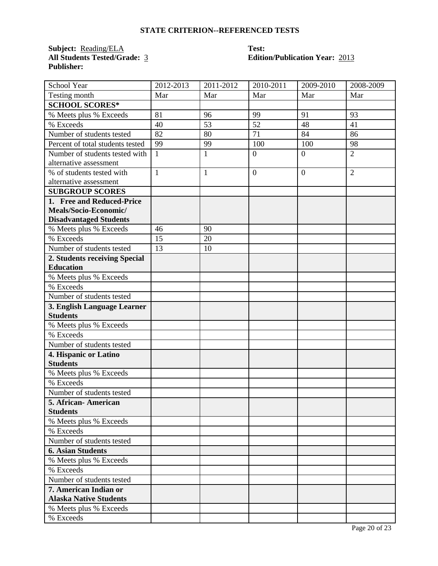# **STATE CRITERION--REFERENCED TESTS**

**Subject:** <u>Reading/ELA</u> **Test:**<br> **All Students Tested/Grade:** 3 **Edition Publisher:** 

# *Altion/Publication Year: 2013*

| School Year                      | 2012-2013    | 2011-2012    | 2010-2011      | 2009-2010      | 2008-2009      |
|----------------------------------|--------------|--------------|----------------|----------------|----------------|
| Testing month                    | Mar          | Mar          | Mar            | Mar            | Mar            |
| <b>SCHOOL SCORES*</b>            |              |              |                |                |                |
| % Meets plus % Exceeds           | 81           | 96           | 99             | 91             | 93             |
| % Exceeds                        | 40           | 53           | 52             | 48             | 41             |
| Number of students tested        | 82           | 80           | 71             | 84             | 86             |
| Percent of total students tested | 99           | 99           | 100            | 100            | 98             |
| Number of students tested with   | $\mathbf{1}$ | $\mathbf{1}$ | $\overline{0}$ | $\overline{0}$ | $\overline{2}$ |
| alternative assessment           |              |              |                |                |                |
| % of students tested with        | $\mathbf{1}$ | $\mathbf{1}$ | $\overline{0}$ | $\overline{0}$ | $\overline{2}$ |
| alternative assessment           |              |              |                |                |                |
| <b>SUBGROUP SCORES</b>           |              |              |                |                |                |
| 1. Free and Reduced-Price        |              |              |                |                |                |
| Meals/Socio-Economic/            |              |              |                |                |                |
| <b>Disadvantaged Students</b>    |              |              |                |                |                |
| % Meets plus % Exceeds           | 46           | 90           |                |                |                |
| % Exceeds                        | 15           | 20           |                |                |                |
| Number of students tested        | 13           | 10           |                |                |                |
| 2. Students receiving Special    |              |              |                |                |                |
| <b>Education</b>                 |              |              |                |                |                |
| % Meets plus % Exceeds           |              |              |                |                |                |
| % Exceeds                        |              |              |                |                |                |
| Number of students tested        |              |              |                |                |                |
| 3. English Language Learner      |              |              |                |                |                |
| <b>Students</b>                  |              |              |                |                |                |
| % Meets plus % Exceeds           |              |              |                |                |                |
| % Exceeds                        |              |              |                |                |                |
| Number of students tested        |              |              |                |                |                |
| 4. Hispanic or Latino            |              |              |                |                |                |
| <b>Students</b>                  |              |              |                |                |                |
| % Meets plus % Exceeds           |              |              |                |                |                |
| % Exceeds                        |              |              |                |                |                |
| Number of students tested        |              |              |                |                |                |
| 5. African- American             |              |              |                |                |                |
| <b>Students</b>                  |              |              |                |                |                |
| % Meets plus % Exceeds           |              |              |                |                |                |
| % Exceeds                        |              |              |                |                |                |
| Number of students tested        |              |              |                |                |                |
| <b>6. Asian Students</b>         |              |              |                |                |                |
| % Meets plus % Exceeds           |              |              |                |                |                |
| % Exceeds                        |              |              |                |                |                |
| Number of students tested        |              |              |                |                |                |
| 7. American Indian or            |              |              |                |                |                |
| <b>Alaska Native Students</b>    |              |              |                |                |                |
| % Meets plus % Exceeds           |              |              |                |                |                |
| % Exceeds                        |              |              |                |                |                |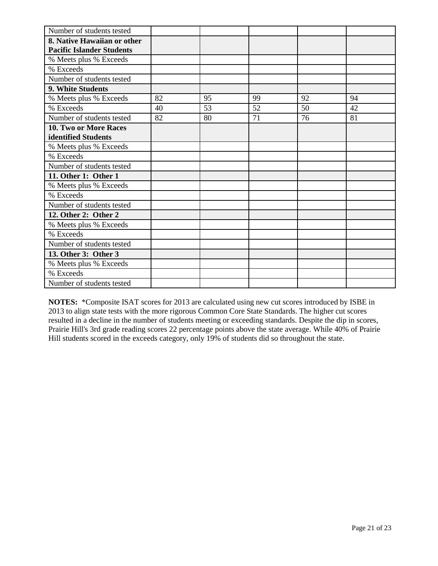| Number of students tested        |    |    |    |    |    |
|----------------------------------|----|----|----|----|----|
| 8. Native Hawaiian or other      |    |    |    |    |    |
| <b>Pacific Islander Students</b> |    |    |    |    |    |
| % Meets plus % Exceeds           |    |    |    |    |    |
| % Exceeds                        |    |    |    |    |    |
| Number of students tested        |    |    |    |    |    |
| 9. White Students                |    |    |    |    |    |
| % Meets plus % Exceeds           | 82 | 95 | 99 | 92 | 94 |
| % Exceeds                        | 40 | 53 | 52 | 50 | 42 |
| Number of students tested        | 82 | 80 | 71 | 76 | 81 |
| <b>10. Two or More Races</b>     |    |    |    |    |    |
| identified Students              |    |    |    |    |    |
| % Meets plus % Exceeds           |    |    |    |    |    |
| % Exceeds                        |    |    |    |    |    |
| Number of students tested        |    |    |    |    |    |
| 11. Other 1: Other 1             |    |    |    |    |    |
| % Meets plus % Exceeds           |    |    |    |    |    |
| % Exceeds                        |    |    |    |    |    |
| Number of students tested        |    |    |    |    |    |
| 12. Other 2: Other 2             |    |    |    |    |    |
| % Meets plus % Exceeds           |    |    |    |    |    |
| % Exceeds                        |    |    |    |    |    |
| Number of students tested        |    |    |    |    |    |
| 13. Other 3: Other 3             |    |    |    |    |    |
| % Meets plus % Exceeds           |    |    |    |    |    |
| % Exceeds                        |    |    |    |    |    |
| Number of students tested        |    |    |    |    |    |

**NOTES:** \*Composite ISAT scores for 2013 are calculated using new cut scores introduced by ISBE in 2013 to align state tests with the more rigorous Common Core State Standards. The higher cut scores resulted in a decline in the number of students meeting or exceeding standards. Despite the dip in scores, Prairie Hill's 3rd grade reading scores 22 percentage points above the state average. While 40% of Prairie Hill students scored in the exceeds category, only 19% of students did so throughout the state.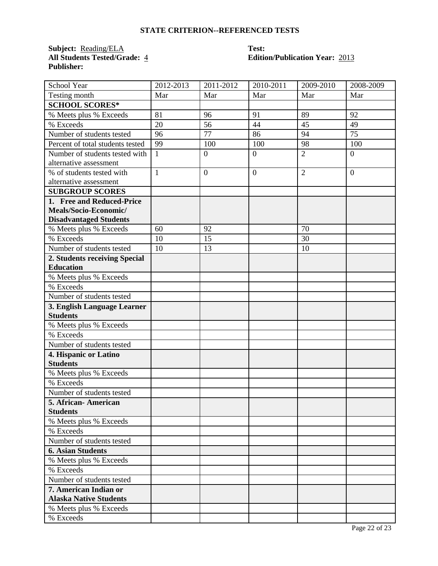# **STATE CRITERION--REFERENCED TESTS**

**Subject:** <u>Reading/ELA</u> **Test:**<br> **All Students Tested/Grade:**  $\frac{4}{5}$  **Editic Publisher:** 

# **All Students Tested/Grade:** 4 **Edition/Publication Year:** 2013

| School Year                      | 2012-2013    | 2011-2012        | 2010-2011      | 2009-2010      | 2008-2009      |
|----------------------------------|--------------|------------------|----------------|----------------|----------------|
| Testing month                    | Mar          | Mar              | Mar            | Mar            | Mar            |
| <b>SCHOOL SCORES*</b>            |              |                  |                |                |                |
| % Meets plus % Exceeds           | 81           | 96               | 91             | 89             | 92             |
| % Exceeds                        | 20           | 56               | 44             | 45             | 49             |
| Number of students tested        | 96           | 77               | 86             | 94             | 75             |
| Percent of total students tested | 99           | 100              | 100            | 98             | 100            |
| Number of students tested with   | $\mathbf{1}$ | $\boldsymbol{0}$ | $\overline{0}$ | $\overline{2}$ | $\overline{0}$ |
| alternative assessment           |              |                  |                |                |                |
| % of students tested with        | $\mathbf{1}$ | $\overline{0}$   | $\overline{0}$ | $\overline{2}$ | $\theta$       |
| alternative assessment           |              |                  |                |                |                |
| <b>SUBGROUP SCORES</b>           |              |                  |                |                |                |
| 1. Free and Reduced-Price        |              |                  |                |                |                |
| Meals/Socio-Economic/            |              |                  |                |                |                |
| <b>Disadvantaged Students</b>    |              |                  |                |                |                |
| % Meets plus % Exceeds           | 60           | 92               |                | 70             |                |
| % Exceeds                        | 10           | 15               |                | 30             |                |
| Number of students tested        | 10           | 13               |                | 10             |                |
| 2. Students receiving Special    |              |                  |                |                |                |
| <b>Education</b>                 |              |                  |                |                |                |
| % Meets plus % Exceeds           |              |                  |                |                |                |
| % Exceeds                        |              |                  |                |                |                |
| Number of students tested        |              |                  |                |                |                |
| 3. English Language Learner      |              |                  |                |                |                |
| <b>Students</b>                  |              |                  |                |                |                |
| % Meets plus % Exceeds           |              |                  |                |                |                |
| % Exceeds                        |              |                  |                |                |                |
| Number of students tested        |              |                  |                |                |                |
| 4. Hispanic or Latino            |              |                  |                |                |                |
| <b>Students</b>                  |              |                  |                |                |                |
| % Meets plus % Exceeds           |              |                  |                |                |                |
| % Exceeds                        |              |                  |                |                |                |
| Number of students tested        |              |                  |                |                |                |
| 5. African- American             |              |                  |                |                |                |
| <b>Students</b>                  |              |                  |                |                |                |
| % Meets plus % Exceeds           |              |                  |                |                |                |
| % Exceeds                        |              |                  |                |                |                |
| Number of students tested        |              |                  |                |                |                |
| <b>6. Asian Students</b>         |              |                  |                |                |                |
| % Meets plus % Exceeds           |              |                  |                |                |                |
| % Exceeds                        |              |                  |                |                |                |
| Number of students tested        |              |                  |                |                |                |
| 7. American Indian or            |              |                  |                |                |                |
| <b>Alaska Native Students</b>    |              |                  |                |                |                |
| % Meets plus % Exceeds           |              |                  |                |                |                |
| % Exceeds                        |              |                  |                |                |                |